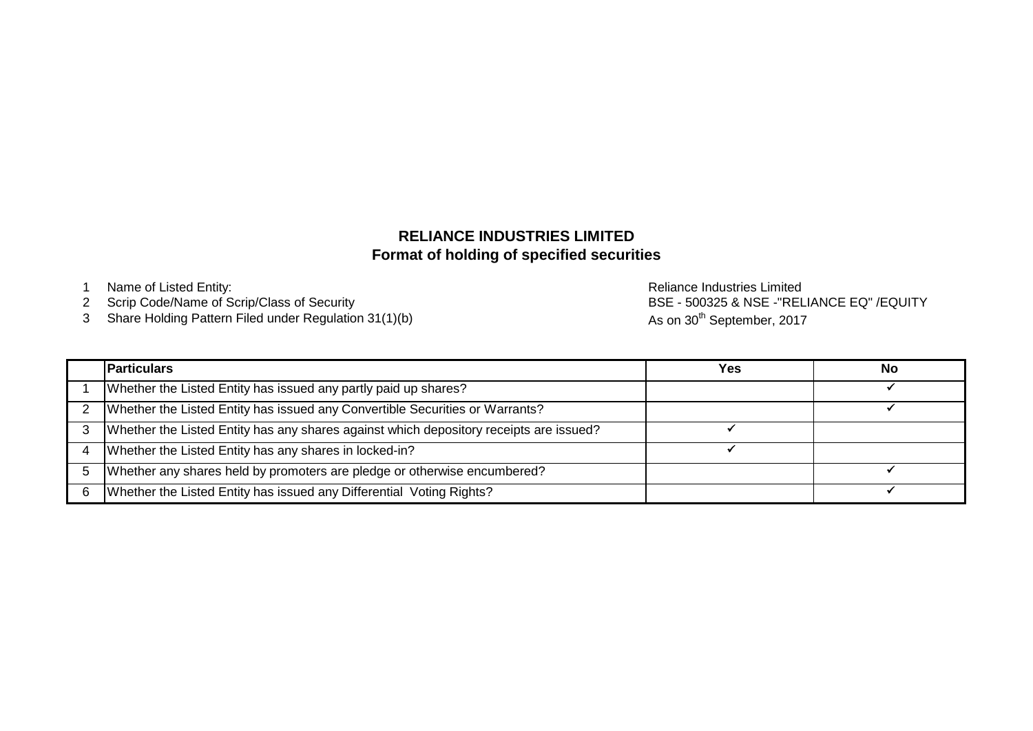## **Format of holding of specified securities RELIANCE INDUSTRIES LIMITED**

2 Scrip Code/Name of Scrip/Class of Security

3 Share Holding Pattern Filed under Regulation 31(1)(b)

1 Name of Listed Entity: **Name of Listed Entity:** And The Control of Listed Entity: **Reliance Industries Limited** BSE - 500325 & NSE -"RELIANCE EQ" /EQUITY As on 30<sup>th</sup> September, 2017

| <b>Particulars</b>                                                                     | Yes | No |
|----------------------------------------------------------------------------------------|-----|----|
| Whether the Listed Entity has issued any partly paid up shares?                        |     |    |
| Whether the Listed Entity has issued any Convertible Securities or Warrants?           |     |    |
| Whether the Listed Entity has any shares against which depository receipts are issued? |     |    |
| Whether the Listed Entity has any shares in locked-in?                                 |     |    |
| Whether any shares held by promoters are pledge or otherwise encumbered?               |     |    |
| Whether the Listed Entity has issued any Differential Voting Rights?                   |     |    |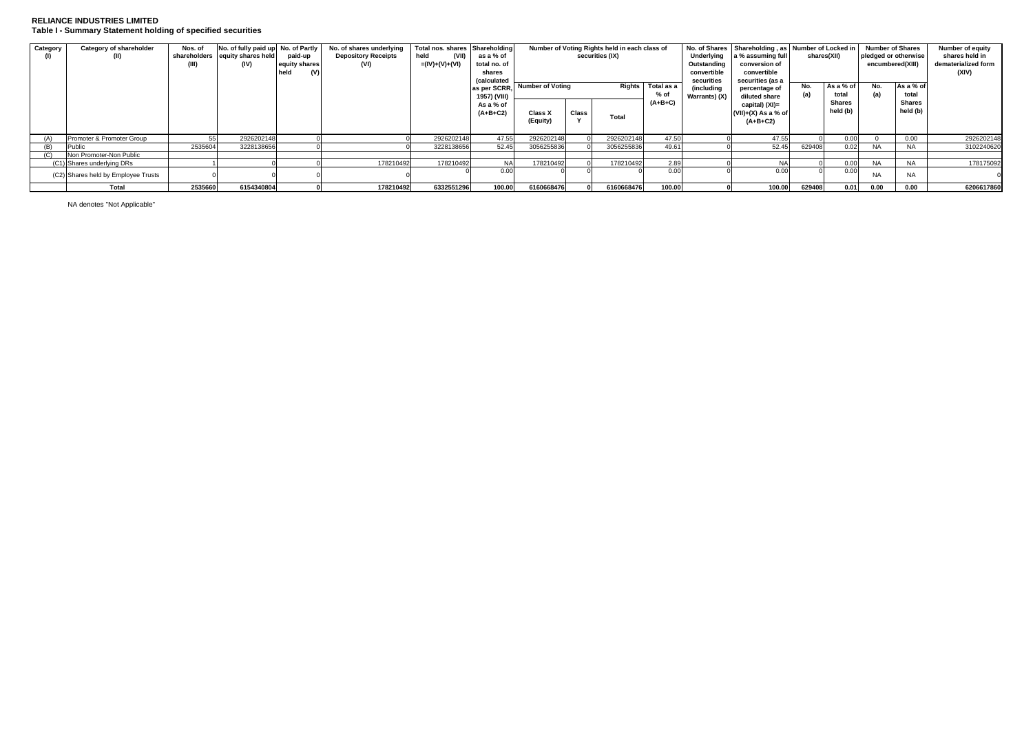# **RELIANCE INDUSTRIES LIMITED Table I - Summary Statement holding of specified securities**

| Category | Category of shareholder             | Nos. of      | No. of fully paid up No. of Partly |               | No. of shares underlying   | Total nos, shares Shareholding |                            |                            |       | Number of Voting Rights held in each class of |                                                                        |               | No. of Shares Shareholding, as Number of Locked in |           |                        |           | <b>Number of Shares</b> | <b>Number of equity</b> |
|----------|-------------------------------------|--------------|------------------------------------|---------------|----------------------------|--------------------------------|----------------------------|----------------------------|-------|-----------------------------------------------|------------------------------------------------------------------------|---------------|----------------------------------------------------|-----------|------------------------|-----------|-------------------------|-------------------------|
|          | (II)                                | shareholders | equity shares held                 | paid-up       | <b>Depository Receipts</b> | held<br>(VII)                  | as a % of                  | securities (IX)            |       |                                               | Underlying<br>a % assuming full<br>pledged or otherwise<br>shares(XII) |               |                                                    |           |                        |           | shares held in          |                         |
|          |                                     | (III)        | (IV)                               | equity shares | (VI)                       | =(IV)+(V)+(VI)                 | total no. of               |                            |       |                                               |                                                                        | Outstanding   | conversion of                                      |           |                        |           | encumbered(XIII)        | dematerialized form     |
|          |                                     |              |                                    | (V)           |                            |                                | shares                     |                            |       |                                               |                                                                        | convertible   | convertible                                        |           |                        |           |                         | (XIV)                   |
|          |                                     |              |                                    |               |                            |                                | <i><b>(calculated)</b></i> |                            |       |                                               |                                                                        | securities    | securities (as a                                   |           |                        |           |                         |                         |
|          |                                     |              |                                    |               |                            |                                | as per SCRR.               | Number of Voting<br>Rights |       | Total as a                                    | (including                                                             | percentage of | No.                                                | As a % of | No.                    | As a % of |                         |                         |
|          |                                     |              |                                    |               |                            |                                | 1957) (VIII)               |                            |       |                                               | $%$ of<br>$(A+B+C)$                                                    | Warrants) (X) | diluted share                                      | (a)       | total<br><b>Shares</b> | (a)       | total<br><b>Shares</b>  |                         |
|          |                                     |              |                                    |               |                            |                                | As a % of                  |                            |       |                                               |                                                                        |               | capital) (XI)=                                     |           | held (b)               |           | held (b)                |                         |
|          |                                     |              |                                    |               |                            |                                | $(A+B+C2)$                 | <b>Class X</b>             | Class | <b>Total</b>                                  |                                                                        |               | $(VII)+(X)$ As a % of                              |           |                        |           |                         |                         |
|          |                                     |              |                                    |               |                            |                                |                            | (Equity)                   |       |                                               |                                                                        |               | (A+B+C2)                                           |           |                        |           |                         |                         |
|          |                                     |              |                                    |               |                            |                                |                            |                            |       |                                               |                                                                        |               |                                                    |           |                        |           |                         |                         |
| (A)      | Promoter & Promoter Group           |              | 2926202148                         |               |                            | 2926202148                     | 47.55                      | 2926202148                 |       | 2926202148                                    | 47.50                                                                  |               | 47.55                                              |           | 0.00                   |           | 0.00                    | 2926202148              |
| (B)      | Public                              | 2535604      | 3228138656                         |               |                            | 3228138656                     | 52.45                      | 3056255836                 |       | 3056255836                                    | 49.6                                                                   |               | 52.45                                              | 629408    | 0.02                   | <b>NA</b> | <b>NA</b>               | 3102240620              |
|          | Non Promoter-Non Public             |              |                                    |               |                            |                                |                            |                            |       |                                               |                                                                        |               |                                                    |           |                        |           |                         |                         |
|          | (C1) Shares underlying DRs          |              |                                    |               | 178210492                  | 178210492                      | <b>NAI</b>                 | 178210492                  |       | 178210492                                     | 2.89                                                                   |               | <b>NA</b>                                          |           | 0.00                   | <b>NA</b> | <b>NA</b>               | 178175092               |
|          | (C2) Shares held by Employee Trusts |              |                                    |               |                            |                                | 0.00                       |                            |       |                                               | 0.00                                                                   |               | 0.00                                               |           | 0.00                   | <b>NA</b> | <b>NA</b>               |                         |
|          | Total                               | 2535660      | 6154340804                         |               | 178210492                  | 6332551296                     | 100.00                     | 6160668476                 |       | 6160668476                                    | 100.00                                                                 |               | 100.00                                             | 629408    | 0.01                   | 0.00      | 0.00                    | 6206617860              |

NA denotes "Not Applicable"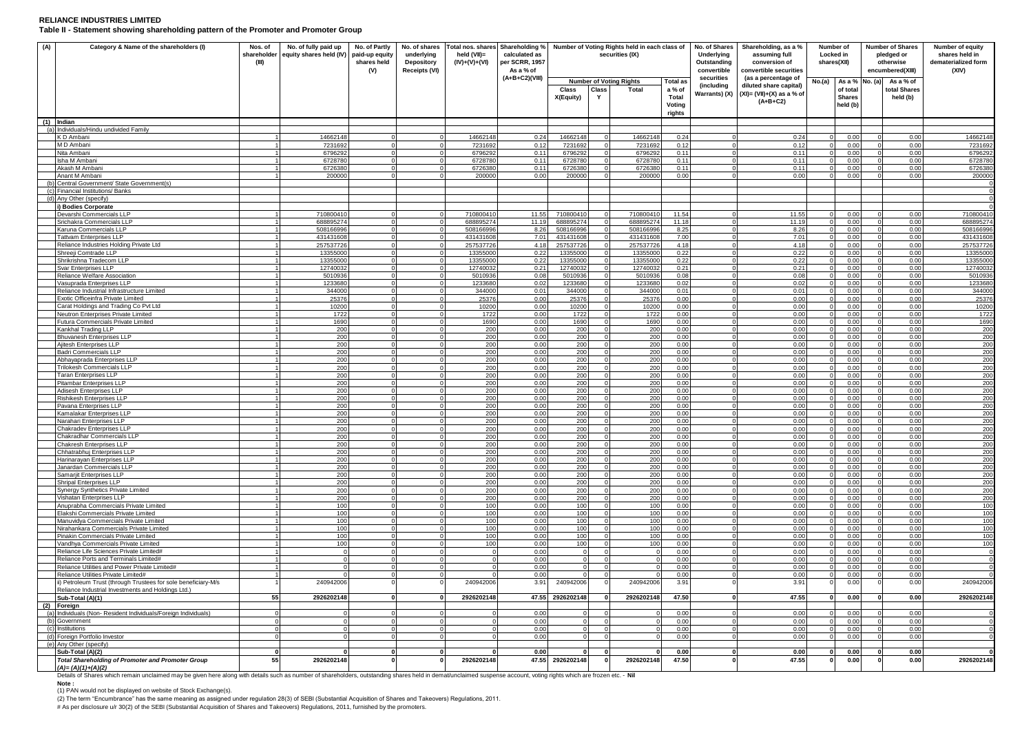### **RELIANCE INDUSTRIES LIMITED Table II - Statement showing shareholding pattern of the Promoter and Promoter Group**

| (A)        | Category & Name of the shareholders (I)                                                               | Nos. of<br>shareholder<br>(III) | No. of fully paid up<br>equity shares held (IV) | No. of Partly<br>paid-up equity<br>shares held<br>(V) | No. of shares<br>underlying<br>Depository<br>Receipts (VI) | held (VII)=<br>$(IV)+(V)+(VI)$ | calculated as<br>per SCRR, 1957<br>As a % of | Total nos. shares Shareholding % Number of Voting Rights held in each class of<br>securities (IX) |              |                                                |                                                     | No. of Shares<br>Underlying<br>Outstanding<br>convertible | Shareholding, as a %<br>assuming full<br>conversion of<br>convertible securities            |       | Number of<br><b>Number of Shares</b><br>Locked in<br>pledged or<br>shares(XII)<br>otherwise<br>encumbered(XIII) |          | Number of equity<br>shares held in<br>dematerialized form<br>(XIV) |                        |
|------------|-------------------------------------------------------------------------------------------------------|---------------------------------|-------------------------------------------------|-------------------------------------------------------|------------------------------------------------------------|--------------------------------|----------------------------------------------|---------------------------------------------------------------------------------------------------|--------------|------------------------------------------------|-----------------------------------------------------|-----------------------------------------------------------|---------------------------------------------------------------------------------------------|-------|-----------------------------------------------------------------------------------------------------------------|----------|--------------------------------------------------------------------|------------------------|
|            |                                                                                                       |                                 |                                                 |                                                       |                                                            |                                | $(A+B+C2)(VIII)$                             | Class<br>X(Equity)                                                                                | Class<br>Y   | <b>Number of Voting Rights</b><br><b>Total</b> | <b>Total as</b><br>a % of<br><b>Total</b><br>Voting | securities<br><i>(including</i><br>Warrants) (X)          | (as a percentage of<br>diluted share capital)<br>$(XI) = (VII)+(X)$ as a % of<br>$(A+B+C2)$ | No(a) | As a % No. (a)<br>of total<br><b>Shares</b><br>held (b)                                                         |          | As a % of<br>total Shares<br>held (b)                              |                        |
|            |                                                                                                       |                                 |                                                 |                                                       |                                                            |                                |                                              |                                                                                                   |              |                                                | rights                                              |                                                           |                                                                                             |       |                                                                                                                 |          |                                                                    |                        |
|            | (1) Indian<br>(a) Individuals/Hindu undivided Family                                                  |                                 |                                                 |                                                       |                                                            |                                |                                              |                                                                                                   |              |                                                |                                                     |                                                           |                                                                                             |       |                                                                                                                 |          |                                                                    |                        |
|            | K D Ambani                                                                                            |                                 | 14662148                                        |                                                       |                                                            | 14662148                       | 0.24                                         | 14662148                                                                                          |              | 14662148                                       | 0.24                                                |                                                           | 0.24                                                                                        |       | 0.00                                                                                                            |          | 0.00                                                               | 14662148               |
|            | M D Ambani                                                                                            |                                 | 7231692                                         |                                                       | $\Omega$                                                   | 7231692                        | 0.12                                         | 7231692                                                                                           |              | 7231692                                        | 0.12                                                |                                                           | 0.12                                                                                        |       | 0.00                                                                                                            |          | 0.00                                                               | 7231692                |
|            | Nita Ambani<br>Isha M Ambani                                                                          |                                 | 679629<br>6728780                               |                                                       |                                                            | 6796292<br>6728780             | 0.11<br>0.11                                 | 6796292<br>6728780                                                                                |              | 6796292<br>672878                              | 0.11<br>0.11                                        |                                                           | $0.1^{\circ}$<br>0.11                                                                       |       | 0.0<br>0.00                                                                                                     |          | 0.00<br>0.00                                                       | 6796292<br>6728780     |
|            | Akash M Ambar                                                                                         |                                 | 672638                                          |                                                       |                                                            | 672638                         | 0.11                                         | 6726380                                                                                           |              | 672638                                         | 0.11                                                |                                                           | 0.1'                                                                                        |       | 0.00                                                                                                            |          | 0.00                                                               | 6726380                |
|            | Anant M Ambani                                                                                        |                                 | 200000                                          |                                                       |                                                            | 200000                         | 0.00                                         | 200000                                                                                            |              | 200000                                         | 0.00                                                |                                                           | 0.00                                                                                        |       | 0.00                                                                                                            |          | 0.00                                                               | 200000                 |
| (b)<br>(c) | Central Government/ State Government(s)<br>Financial Institutions/ Banks                              |                                 |                                                 |                                                       |                                                            |                                |                                              |                                                                                                   |              |                                                |                                                     |                                                           |                                                                                             |       |                                                                                                                 |          |                                                                    | $\sqrt{ }$<br>$\Omega$ |
| (d)        | Any Other (specify)                                                                                   |                                 |                                                 |                                                       |                                                            |                                |                                              |                                                                                                   |              |                                                |                                                     |                                                           |                                                                                             |       |                                                                                                                 |          |                                                                    |                        |
|            | i) Bodies Corporate                                                                                   |                                 |                                                 |                                                       |                                                            |                                |                                              |                                                                                                   |              |                                                |                                                     |                                                           |                                                                                             |       |                                                                                                                 |          |                                                                    |                        |
|            | Devarshi Commercials LLP                                                                              |                                 | 71080041                                        |                                                       |                                                            | 71080041                       | 11.55                                        | 71080041                                                                                          | $\Omega$     | 71080041                                       | 11.54                                               |                                                           | 11.55                                                                                       |       | 0.0<br>0.00                                                                                                     |          | 0.00                                                               | 710800410              |
|            | Srichakra Commercials LLP<br>Karuna Commercials LLP                                                   |                                 | 688895274<br>508166996                          |                                                       | $\Omega$                                                   | 688895274<br>50816699          | 11.19<br>8.26                                | 688895274<br>508166996                                                                            |              | 688895274<br>50816699                          | 11.18<br>8.25                                       |                                                           | 11.19<br>8.26                                                                               |       | 0.00                                                                                                            |          | 0.00<br>0.00                                                       | 688895274<br>508166996 |
|            | <b>Tattvam Enterprises LLP</b>                                                                        |                                 | 43143160                                        |                                                       |                                                            | 431431608                      | 7.01                                         | 431431608                                                                                         |              | 43143160                                       | 7.00                                                |                                                           | 7.01                                                                                        |       | 0.00                                                                                                            |          | 0.00                                                               | 431431608              |
|            | Reliance Industries Holding Private Ltd                                                               |                                 | 257537726                                       |                                                       |                                                            | 257537726                      | 4.18                                         | 257537726                                                                                         |              | 25753772                                       | 4.18                                                |                                                           | 4.18                                                                                        |       | 0.00                                                                                                            |          | 0.00                                                               | 257537726              |
|            | Shreeji Comtrade LLP<br>Shrikrishna Tradecom LLP                                                      |                                 | 13355000<br>1335500                             |                                                       |                                                            | 13355000<br>1335500            | 0.22<br>0.22                                 | 13355000<br>13355000                                                                              |              | 1335500<br>1335500                             | 0.22<br>0.22                                        |                                                           | 0.22<br>0.22                                                                                |       | 0.00<br>0.00                                                                                                    |          | 0.00<br>0.00                                                       | 13355000<br>13355000   |
|            | Svar Enterprises LLP                                                                                  |                                 | 12740032                                        |                                                       |                                                            | 12740032                       | 0.21                                         | 12740032                                                                                          |              | 12740032                                       | 0.21                                                |                                                           | 0.21                                                                                        |       | 0.00                                                                                                            |          | 0.00                                                               | 12740032               |
|            | Reliance Welfare Association                                                                          |                                 | 5010936                                         |                                                       |                                                            | 5010936                        | 0.08                                         | 5010936                                                                                           |              | 5010936                                        | 0.08                                                |                                                           | 0.08                                                                                        |       | 0.00                                                                                                            |          | 0.00                                                               | 5010936                |
|            | Vasuprada Enterprises LLP                                                                             |                                 | 123368                                          |                                                       |                                                            | 123368                         | 0.02                                         | 1233680                                                                                           |              | 123368                                         | 0.02                                                |                                                           | 0.0                                                                                         |       | 0.0                                                                                                             |          | 0.00                                                               | 123368                 |
|            | Reliance Industrial Infrastructure Limited<br>Exotic Officeinfra Private Limited                      |                                 | 344000<br>25376                                 | $\sqrt{2}$                                            |                                                            | 344000<br>25376                | 0.01<br>0.00                                 | 344000<br>25376                                                                                   |              | 34400<br>2537                                  | 0.01<br>0.00                                        |                                                           | 0.01<br>0.00                                                                                |       | 0.00<br>0.00                                                                                                    |          | 0.00<br>0.00                                                       | 344000<br>25376        |
|            | Carat Holdings and Trading Co Pvt Ltd                                                                 |                                 | 10200                                           |                                                       |                                                            | 10200                          | 0.00                                         | 10200                                                                                             |              | 10200                                          | 0.00                                                |                                                           | 0.00                                                                                        |       | 0.00                                                                                                            |          | 0.00                                                               | 10200                  |
|            | Neutron Enterprises Private Limited                                                                   |                                 | 1722                                            |                                                       |                                                            | 1722                           | 0.00                                         | 1722                                                                                              |              | 1722                                           | 0.00                                                |                                                           | 0.00                                                                                        |       | 0.00                                                                                                            |          | 0.00                                                               | 1722                   |
|            | Futura Commercials Private Limited                                                                    |                                 | 1690                                            |                                                       |                                                            | 1690                           | 0.00                                         | 1690                                                                                              |              | 1690                                           | 0.00                                                |                                                           | 0.00                                                                                        |       | 0.00                                                                                                            |          | 0.00                                                               | 1690                   |
|            | Kankhal Trading LLP<br><b>Bhuvanesh Enterprises LLP</b>                                               |                                 | 200<br>200                                      |                                                       |                                                            | 200<br>200                     | 0.00<br>0.00                                 | 200<br>200                                                                                        |              | 200<br>200                                     | 0.00<br>0.00                                        |                                                           | 0.00<br>0.00                                                                                |       | 0.00<br>0.00                                                                                                    |          | 0.00<br>0.00                                                       | 200<br>200             |
|            | Ajitesh Enterprises LLP                                                                               |                                 | 200                                             |                                                       |                                                            | 200                            | 0.00                                         | 200                                                                                               |              | 200                                            | 0.00                                                |                                                           | 0.00                                                                                        |       | 0.00                                                                                                            |          | 0.00                                                               | 200                    |
|            | Badri Commercials LLP                                                                                 |                                 | 200                                             |                                                       |                                                            | 200                            | 0.00                                         | 200                                                                                               |              | 200                                            | 0.00                                                |                                                           | 0.00                                                                                        |       | 0.00                                                                                                            | $\Omega$ | 0.00                                                               | 200                    |
|            | Abhayaprada Enterprises LLP                                                                           |                                 | 200                                             |                                                       |                                                            | 200                            | 0.00                                         | 200                                                                                               |              | 200                                            | 0.00                                                |                                                           | 0.00                                                                                        |       | 0.0                                                                                                             |          | 0.00                                                               | 200                    |
|            | Trilokesh Commercials LLP<br><b>Taran Enterprises LLP</b>                                             |                                 | 200<br>200                                      |                                                       |                                                            | 200<br>200                     | 0.00<br>0.00                                 | 200<br>200                                                                                        |              | 200<br>200                                     | 0.00<br>0.00                                        |                                                           | 0.00<br>0.00                                                                                |       | 0.00<br>0.00                                                                                                    |          | 0.00<br>0.00                                                       | 200<br>200             |
|            | Pitambar Enterprises LLP                                                                              |                                 | 200                                             |                                                       |                                                            | 200                            | 0.00                                         | 200                                                                                               |              | 200                                            | 0.00                                                |                                                           | 0.00                                                                                        |       | 0.00                                                                                                            |          | 0.00                                                               | 200                    |
|            | Adisesh Enterprises LLP                                                                               |                                 | 200                                             |                                                       |                                                            | 200                            | 0.00                                         | 200                                                                                               |              | 200                                            | 0.00                                                |                                                           | 0.00                                                                                        |       | 0.00                                                                                                            |          | 0.00                                                               | 200                    |
|            | Rishikesh Enterprises LLP<br>Pavana Enterprises LLP                                                   |                                 | 200<br>200                                      |                                                       |                                                            | 200<br>200                     | 0.00<br>0.00                                 | 200<br>200                                                                                        |              | 200<br>200                                     | 0.00<br>0.0(                                        |                                                           | 0.00<br>0.00                                                                                |       | 0.00<br>0.00                                                                                                    |          | 0.00<br>0.00                                                       | 200<br>200             |
|            | Kamalakar Enterprises LLF                                                                             |                                 | 200                                             |                                                       |                                                            | 200                            | 0.00                                         | 200                                                                                               |              | 200                                            | 0.00                                                |                                                           | 0.00                                                                                        |       | 0.00                                                                                                            |          | 0.00                                                               | 200                    |
|            | Narahari Enterprises LLP                                                                              |                                 | 200                                             |                                                       |                                                            | 200                            | 0.00                                         | 200                                                                                               |              | 200                                            | 0.00                                                |                                                           | 0.00                                                                                        |       | 0.00                                                                                                            |          | 0.00                                                               | 200                    |
|            | <b>Chakradev Enterprises LLP</b><br>Chakradhar Commercials LLP                                        |                                 | 200                                             |                                                       |                                                            | 200                            | 0.00<br>0.00                                 | 200                                                                                               |              | 200                                            | 0.00                                                |                                                           | 0.00<br>0.00                                                                                |       | 0.00<br>0.00                                                                                                    |          | 0.00                                                               | 200                    |
|            | Chakresh Enterprises LLP                                                                              |                                 | 200<br>200                                      |                                                       |                                                            | 200<br>200                     | 0.00                                         | 200<br>200                                                                                        |              | 200<br>200                                     | 0.00<br>0.00                                        |                                                           | 0.0                                                                                         |       | 0.0                                                                                                             |          | 0.00<br>0.00                                                       | 200<br>200             |
|            | Chhatrabhuj Enterprises LLP                                                                           |                                 | 200                                             | $\sqrt{2}$                                            |                                                            | 200                            | 0.00                                         | 200                                                                                               |              | 200                                            | 0.00                                                |                                                           | 0.00                                                                                        |       | 0.00                                                                                                            | $\Omega$ | 0.00                                                               | 200                    |
|            | Harinarayan Enterprises LLP                                                                           |                                 | 200                                             |                                                       |                                                            | 200                            | 0.00                                         | 200                                                                                               |              | 200                                            | 0.00                                                |                                                           | 0.00                                                                                        |       | 0.00                                                                                                            |          | 0.00                                                               | 200                    |
|            | Janardan Commercials LLP<br>Samarjit Enterprises LLP                                                  |                                 | 200<br>200                                      |                                                       | $\Omega$                                                   | 200<br>200                     | 0.00<br>0.00                                 | 200<br>200                                                                                        |              | 200<br>200                                     | 0.00<br>0.00                                        |                                                           | 0.00<br>0.00                                                                                |       | 0.00<br>0.00                                                                                                    |          | 0.00<br>0.00                                                       | 200<br>200             |
|            | Shripal Enterprises LLP                                                                               |                                 | 200                                             |                                                       |                                                            | 200                            | 0.00                                         | 200                                                                                               |              | 200                                            | 0.00                                                |                                                           | 0.00                                                                                        |       | 0.01                                                                                                            |          | 0.00                                                               | 200                    |
|            | Synergy Synthetics Private Limited                                                                    |                                 | 200                                             |                                                       |                                                            | 200                            | 0.00                                         | 200                                                                                               |              | 200                                            | 0.00                                                |                                                           | 0.00                                                                                        |       | 0.00                                                                                                            |          | 0.00                                                               | 200                    |
|            | Vishatan Enterprises LLP                                                                              |                                 | 200                                             |                                                       |                                                            | 200                            | 0.00                                         | 200                                                                                               |              | 200                                            | 0.00                                                |                                                           | 0.00                                                                                        |       | 0.00                                                                                                            |          | 0.00                                                               | 200                    |
|            | Anuprabha Commercials Private Limited<br>Elakshi Commercials Private Limited                          |                                 | 100<br>100                                      |                                                       |                                                            | 100<br>100                     | 0.00<br>0.00                                 | 100<br>100                                                                                        |              | 100<br>100                                     | 0.00<br>0.00                                        |                                                           | 0.00<br>0.00                                                                                |       | 0.00<br>0.00                                                                                                    |          | 0.00<br>0.00                                                       | 100<br>100             |
|            | Manuvidva Commercials Private Limited                                                                 |                                 | 100                                             |                                                       |                                                            | 100                            | 0.00                                         | 100                                                                                               |              | 100                                            | 0.00                                                |                                                           | 0.00                                                                                        |       | 0.00                                                                                                            |          | 0.00                                                               | 100                    |
|            | Nirahankara Commercials Private Limited                                                               |                                 | 100                                             |                                                       |                                                            | 100                            | 0.00                                         | 100                                                                                               |              | 100                                            | 0.00                                                |                                                           | 0.00                                                                                        |       | 0.0                                                                                                             |          | 0.00                                                               | 100                    |
|            | Pinakin Commercials Private Limited<br>Vandhya Commercials Private Limited                            |                                 | 100<br>100                                      |                                                       |                                                            | 100<br>100                     | 0.00<br>0.00                                 | 100<br>100                                                                                        |              | 100<br>100                                     | 0.00<br>0.00                                        |                                                           | 0.00<br>0.00                                                                                |       | 0.0<br>0.00                                                                                                     |          | 0.00<br>0.00                                                       | 100<br>100             |
|            | Reliance Life Sciences Private Limited#                                                               |                                 |                                                 |                                                       |                                                            |                                | 0.00                                         |                                                                                                   | $\Omega$     |                                                | 0.00                                                |                                                           | 0.00                                                                                        |       | 0.00                                                                                                            |          | 0.00                                                               |                        |
|            | Reliance Ports and Terminals Limited#                                                                 |                                 |                                                 |                                                       | $\Omega$                                                   |                                | 0.00                                         |                                                                                                   |              |                                                | 0.00                                                |                                                           | 0.00                                                                                        |       | 0.00                                                                                                            |          | 0.00                                                               |                        |
|            | Reliance Utilities and Power Private Limited#                                                         |                                 |                                                 |                                                       |                                                            |                                | 0.00                                         |                                                                                                   |              |                                                | 0.00                                                |                                                           | 0.00                                                                                        |       | 0.00                                                                                                            |          | 0.00                                                               |                        |
|            | Reliance Utilities Private Limited#<br>ii) Petroleum Trust (through Trustees for sole beneficiary-M/s |                                 | 240942006                                       |                                                       |                                                            | 240942006                      | 0.00<br>3.91                                 | 240942006                                                                                         |              | 240942006                                      | 0.00<br>3.91                                        |                                                           | 0.00<br>3.9'                                                                                |       | 0.00<br>0.00                                                                                                    |          | 0.00<br>0.00                                                       | 240942006              |
|            | Reliance Industrial Investments and Holdings Ltd.)                                                    |                                 |                                                 |                                                       |                                                            |                                |                                              |                                                                                                   |              |                                                |                                                     |                                                           |                                                                                             |       |                                                                                                                 |          |                                                                    |                        |
|            | Sub-Total (A)(1)<br>(2) Foreign                                                                       | 55                              | 2926202148                                      |                                                       |                                                            | 2926202148                     |                                              | 47.55 2926202148                                                                                  |              | 2926202148                                     | 47.50                                               |                                                           | 47.55                                                                                       |       | 0.00                                                                                                            |          | 0.00                                                               | 2926202148             |
| (a)        | Individuals (Non-Resident Individuals/Foreign Individuals)                                            |                                 |                                                 |                                                       |                                                            |                                | 0.00                                         |                                                                                                   |              |                                                | 0.00                                                |                                                           | 0.00                                                                                        |       | 0.00                                                                                                            |          | 0.00                                                               |                        |
| (b)        | Government                                                                                            | $\sqrt{2}$                      |                                                 |                                                       |                                                            |                                | 0.00                                         |                                                                                                   |              |                                                | 0.00                                                |                                                           | 0.00                                                                                        |       | 0.00                                                                                                            |          | 0.00                                                               |                        |
|            | (c) Institutions                                                                                      |                                 |                                                 |                                                       |                                                            |                                | 0.00                                         |                                                                                                   |              |                                                | 0 <sup>0</sup>                                      |                                                           | 0.00                                                                                        |       | 0.00                                                                                                            |          | 0.00                                                               |                        |
| (d)        | Foreign Portfolio Investor<br>(e) Any Other (specify)                                                 |                                 |                                                 |                                                       |                                                            |                                | 0.00                                         |                                                                                                   |              |                                                | 0.00                                                |                                                           | 0.00                                                                                        |       | 0.00                                                                                                            |          | 0.00                                                               |                        |
|            | Sub-Total (A)(2)                                                                                      | $\mathbf{0}$                    |                                                 | $\mathbf{0}$                                          | $\Omega$                                                   |                                | 0.00                                         | $\mathbf{0}$                                                                                      | $\mathbf{0}$ |                                                | 0.00                                                |                                                           | 0.00                                                                                        |       | 0.00                                                                                                            |          | 0.00                                                               |                        |
|            | <b>Total Shareholding of Promoter and Promoter Group</b><br>$(A)=(A)(1)+(A)(2)$                       | 55                              | 2926202148                                      |                                                       |                                                            | 2926202148                     | 47.55                                        | 2926202148                                                                                        |              | 2926202148                                     | 47.50                                               |                                                           | 47.55                                                                                       |       | 0.00                                                                                                            |          | 0.00                                                               | 2926202148             |

Details of Shares which remain unclaimed may be given here along with details such as number of shareholders, outstanding shares held in demat/unclaimed suspense account, voting rights which are frozen etc. - Nil<br>Note :

(1) PAN would not be displayed on website of Stock Exchange(s).

(2) The term "Encumbrance" has the same meaning as assigned under regulation 28(3) of SEBI (Substantial Acquisition of Shares and Takeovers) Regulations, 2011.<br># As per disclosure u/r 30(2) of the SEBI (Substantial Acquisi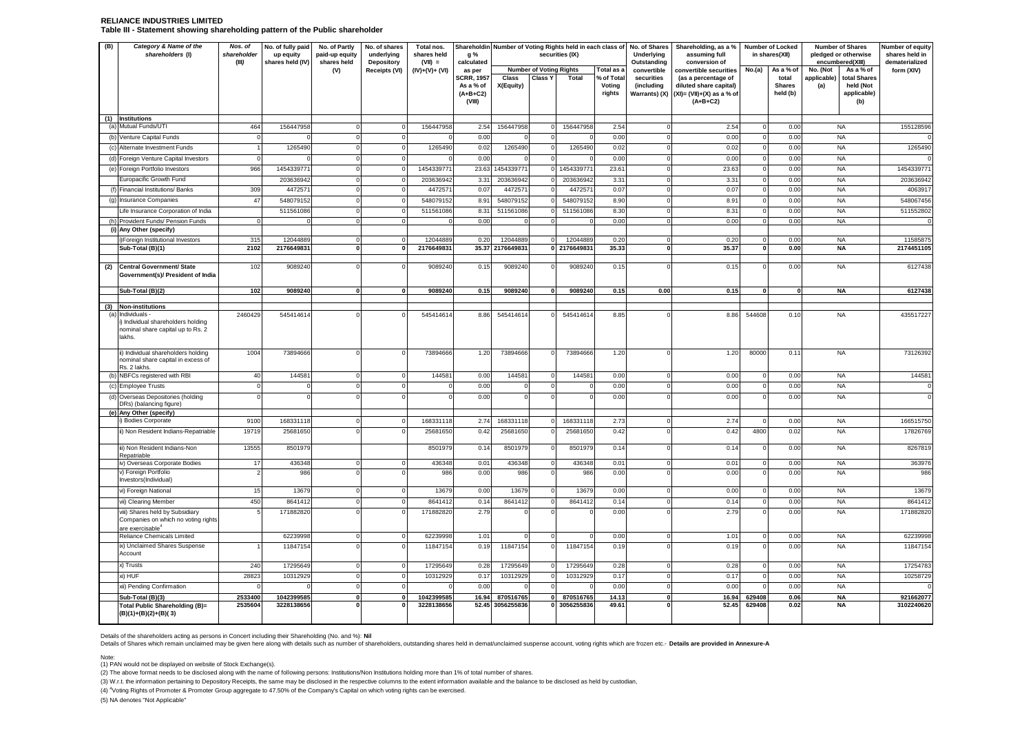### **RELIANCE INDUSTRIES LIMITED Table III - Statement showing shareholding pattern of the Public shareholder**

| (B) | Category & Name of the<br>shareholders (I)                                                      | Nos. of<br>shareholder<br>(III) | No. of fully paid<br>up equity<br>shares held (IV) | No. of Partly<br>paid-up equity<br>shares held | No. of shares<br>underlying<br><b>Depository</b> | Total nos.<br>shares held<br>$(VII) =$ | g %<br>calculated                                     | Shareholdin Number of Voting Rights held in each class of No. of Shares<br>securities (IX) |                                |              | Underlying<br>Outstanding      | Shareholding, as a %<br>assuming full<br>conversion of |                                                                                             | Number of Locked<br>in shares(XII) | <b>Number of Shares</b><br>encumbered(XIII) | pledged or otherwise | Number of equity<br>shares held in<br>dematerialized |            |
|-----|-------------------------------------------------------------------------------------------------|---------------------------------|----------------------------------------------------|------------------------------------------------|--------------------------------------------------|----------------------------------------|-------------------------------------------------------|--------------------------------------------------------------------------------------------|--------------------------------|--------------|--------------------------------|--------------------------------------------------------|---------------------------------------------------------------------------------------------|------------------------------------|---------------------------------------------|----------------------|------------------------------------------------------|------------|
|     |                                                                                                 |                                 |                                                    | (V)                                            | Receipts (VI)                                    | (IV)+(V)+ (VI)                         | as per                                                |                                                                                            | <b>Number of Voting Rights</b> |              | Total as a                     | convertible                                            | convertible securities                                                                      | No.(a)                             | As a % of                                   | No. (Not             | As a % of                                            | form (XIV) |
|     |                                                                                                 |                                 |                                                    |                                                |                                                  |                                        | <b>CRR. 1957</b><br>As a % of<br>$(A+B+C2)$<br>(VIII) | Class<br>X(Equity)                                                                         | <b>Class Y</b>                 | Total        | % of Total<br>Voting<br>rights | securities<br>(including<br>Warrants) (X)              | (as a percentage of<br>diluted share capital)<br>$(XI) = (VII)+(X)$ as a % of<br>$(A+B+C2)$ |                                    | total<br><b>Shares</b><br>held (b)          | applicable)<br>(a)   | total Shares<br>held (Not<br>applicable)<br>(b)      |            |
|     | (1) Institutions                                                                                |                                 | 156447958                                          |                                                |                                                  |                                        |                                                       |                                                                                            |                                |              |                                |                                                        |                                                                                             |                                    |                                             |                      |                                                      |            |
|     | (a) Mutual Funds/UTI                                                                            | 464                             |                                                    |                                                |                                                  | 15644795                               | 2.54<br>0.00                                          | 156447958                                                                                  | $\Omega$                       | 15644795     | 2.54                           |                                                        | 2.54<br>0.00                                                                                | $\Omega$                           | 0.00<br>0.00                                |                      | <b>NA</b><br><b>NA</b>                               | 155128596  |
|     | Venture Capital Funds<br>(c) Alternate Investment Funds                                         |                                 | 1265490                                            |                                                |                                                  | 1265490                                | 0.02                                                  | 1265490                                                                                    |                                | 126549       | 0.00<br>0.02                   |                                                        | 0.02                                                                                        |                                    | 0.00                                        |                      | <b>NA</b>                                            | 1265490    |
|     | (d) Foreign Venture Capital Investors                                                           |                                 |                                                    |                                                |                                                  |                                        | 0.00                                                  |                                                                                            | $\Omega$                       |              | 0.00                           |                                                        | 0.00                                                                                        |                                    | 0.00                                        |                      | <b>NA</b>                                            |            |
|     | Foreign Portfolio Investors                                                                     | 966                             | 1454339771                                         |                                                |                                                  | 145433977                              | 23.63                                                 | 145433977                                                                                  |                                | 145433977    | 23.6'                          |                                                        | 23.63                                                                                       |                                    | 0.00                                        |                      | <b>NA</b>                                            | 145433977  |
|     | Europacific Growth Fund                                                                         |                                 | 203636942                                          |                                                |                                                  | 20363694                               | 3.31                                                  | 203636942                                                                                  |                                | 20363694     | 3.31                           |                                                        | 3.31                                                                                        |                                    | 0.00                                        |                      | <b>NA</b>                                            | 20363694   |
|     | Financial Institutions/ Banks                                                                   | 309                             | 447257                                             |                                                |                                                  | 447257                                 | 0.07                                                  | 447257                                                                                     |                                | 447257       | 0.07                           |                                                        | 0.07                                                                                        |                                    | 0.00                                        |                      | <b>NA</b>                                            | 406391     |
|     | Insurance Companies                                                                             | 47                              | 548079152                                          |                                                |                                                  | 54807915                               | 8.91                                                  | 54807915                                                                                   |                                | 54807915     | 8.90                           |                                                        | 8.91                                                                                        |                                    | 0.00                                        |                      | <b>NA</b>                                            | 548067456  |
|     | Life Insurance Corporation of India                                                             |                                 | 511561086                                          |                                                |                                                  | 511561086                              | 8.31                                                  | 511561086                                                                                  |                                | 511561086    | 8.30                           |                                                        | 8.31                                                                                        | O                                  | 0.00                                        |                      | <b>NA</b>                                            | 511552802  |
|     | Provident Funds/ Pension Funds                                                                  |                                 |                                                    |                                                |                                                  |                                        | 0.00                                                  |                                                                                            |                                |              | 0.00                           |                                                        | 0.00                                                                                        | $\Omega$                           | 0.00                                        |                      | <b>NA</b>                                            |            |
|     | i) Any Other (specify)                                                                          |                                 |                                                    |                                                |                                                  |                                        |                                                       |                                                                                            |                                |              |                                |                                                        |                                                                                             |                                    |                                             |                      |                                                      |            |
|     | i)Foreign Institutional Investors                                                               | 315                             | 12044889                                           |                                                |                                                  | 1204488                                | 0.20                                                  | 12044889                                                                                   |                                | 1204488      | 0.20                           |                                                        | 0.20                                                                                        | $\Omega$                           | 0.00                                        |                      | <b>NA</b>                                            | 1158587    |
|     | Sub-Total (B)(1)                                                                                | 2102                            | 2176649831                                         |                                                |                                                  | 217664983                              | 35.37                                                 | 2176649831                                                                                 |                                | 0 2176649831 | 35.33                          |                                                        | 35.37                                                                                       | $\Omega$                           | 0.00                                        |                      | <b>NA</b>                                            | 2174451105 |
| (2) | Central Government/ State<br>Government(s)/ President of India                                  | 102                             | 9089240                                            |                                                |                                                  | 9089240                                | 0.15                                                  | 9089240                                                                                    |                                | 908924       | 0.15                           |                                                        | 0.15                                                                                        |                                    | 0.00                                        |                      | <b>NA</b>                                            | 6127438    |
|     | Sub-Total (B)(2)                                                                                | 102                             | 9089240                                            |                                                |                                                  | 9089240                                | 0.15                                                  | 9089240                                                                                    | $\mathbf{0}$                   | 9089240      | 0.15                           | 0.00                                                   | 0.15                                                                                        | n                                  | $\mathbf{r}$                                |                      | <b>NA</b>                                            | 6127438    |
| (3) | <b>Non-institutions</b>                                                                         |                                 |                                                    |                                                |                                                  |                                        |                                                       |                                                                                            |                                |              |                                |                                                        |                                                                                             |                                    |                                             |                      |                                                      |            |
| (a) | Individuals -<br>Individual shareholders holding<br>nominal share capital up to Rs. 2<br>lakhs. | 2460429                         | 545414614                                          |                                                |                                                  | 54541461                               | 8.86                                                  | 545414614                                                                                  |                                | 545414614    | 8.85                           |                                                        | 8.86                                                                                        | 544608                             | 0.10                                        |                      | NA                                                   | 435517227  |
|     | ii) Individual shareholders holding<br>nominal share capital in excess of<br>Rs. 2 lakhs.       | 1004                            | 73894666                                           |                                                |                                                  | 73894666                               | 1.20                                                  | 73894666                                                                                   |                                | 73894666     | 1.20                           |                                                        | 1.20                                                                                        | 80000                              | 0.11                                        |                      | <b>NA</b>                                            | 73126392   |
|     | NBFCs registered with RBI                                                                       | 40                              | 144581                                             |                                                |                                                  | 14458                                  | 0.00                                                  | 144581                                                                                     |                                | 14458        | 0.00                           |                                                        | 0.00                                                                                        |                                    | 0.00                                        |                      | <b>NA</b>                                            | 144581     |
|     | (c) Employee Trusts                                                                             | $\Omega$                        |                                                    |                                                |                                                  |                                        | 0.00                                                  | $\Omega$                                                                                   | $\mathbf 0$                    |              | 0.00                           | $\Omega$                                               | 0.00                                                                                        | $^{\circ}$                         | 0.00                                        |                      | <b>NA</b>                                            |            |
|     | Overseas Depositories (holding<br><b>DRs)</b> (balancing figure)                                |                                 |                                                    |                                                |                                                  |                                        | 0.00                                                  |                                                                                            |                                |              | 0.00                           |                                                        | 0.00                                                                                        |                                    | 0.00                                        |                      | <b>NA</b>                                            |            |
|     | (e) Any Other (specify)<br>i) Bodies Corporate                                                  | 9100                            | 168331118                                          |                                                |                                                  | 168331118                              | 2.74                                                  | 168331118                                                                                  |                                | 168331118    | 2.73                           |                                                        | 2.74                                                                                        | $\Omega$                           | 0.00                                        |                      | <b>NA</b>                                            | 166515750  |
|     | ii) Non Resident Indians-Repatriable                                                            | 19719                           | 25681650                                           |                                                |                                                  | 25681650                               | 0.42                                                  | 25681650                                                                                   |                                | 25681650     | 0.42                           |                                                        | 0.42                                                                                        | 4800                               | 0.02                                        |                      | <b>NA</b>                                            | 17826769   |
|     | iii) Non Resident Indians-Non<br>Repatriable                                                    | 13555                           | 8501979                                            |                                                |                                                  | 8501979                                | 0.14                                                  | 8501979                                                                                    |                                | 8501979      | 0.14                           |                                                        | 0.14                                                                                        | $\Omega$                           | 0.00                                        |                      | <b>NA</b>                                            | 826781     |
|     | iv) Overseas Corporate Bodies                                                                   | 17                              | 436348                                             |                                                |                                                  | 436348                                 | 0.01                                                  | 436348                                                                                     |                                | 436348       | 0.01                           |                                                        | 0.01                                                                                        | $\Omega$                           | 0.00                                        |                      | <b>NA</b>                                            | 363976     |
|     | v) Foreign Portfolio<br>Investors(Individual)                                                   |                                 | 986                                                |                                                |                                                  | 986                                    | 0.00                                                  | 986                                                                                        | $\Omega$                       | 986          | 0.00                           |                                                        | 0.00                                                                                        | $\Omega$                           | 0.00                                        |                      | <b>NA</b>                                            | 986        |
|     | vi) Foreign National                                                                            | 15                              | 13679                                              |                                                |                                                  | 1367                                   | 0.00                                                  | 13679                                                                                      |                                | 13679        | 0.00                           |                                                        | 0.00                                                                                        | $\Omega$                           | 0.00                                        |                      | <b>NA</b>                                            | 13679      |
|     | vii) Clearing Member                                                                            | 450                             | 8641412                                            |                                                |                                                  | 864141                                 | 0.14                                                  | 8641412                                                                                    |                                | 8641412      | 0.14                           |                                                        | 0.14                                                                                        |                                    | 0.00                                        |                      | NA                                                   | 8641412    |
|     | viii) Shares held by Subsidiary<br>Companies on which no voting rights<br>are exercisable°      |                                 | 171882820                                          |                                                |                                                  | 17188282                               | 2.79                                                  |                                                                                            |                                |              | 0.00                           |                                                        | 2.79                                                                                        |                                    | 0.00                                        |                      | <b>NA</b>                                            | 17188282   |
|     | Reliance Chemicals Limited                                                                      |                                 | 62239998                                           |                                                |                                                  | 6223999                                | 1.01                                                  |                                                                                            |                                |              | 0.00                           |                                                        | 1.01                                                                                        |                                    | 0.00                                        |                      | NA                                                   | 62239998   |
|     | ix) Unclaimed Shares Suspense<br>Account                                                        |                                 | 11847154                                           |                                                |                                                  | 11847154                               | 0.19                                                  | 11847154                                                                                   | $\Omega$                       | 11847154     | 0.19                           |                                                        | 0.19                                                                                        | $\mathbf 0$                        | 0.00                                        |                      | <b>NA</b>                                            | 1184715    |
|     | x) Trusts                                                                                       | 240                             | 17295649                                           |                                                |                                                  | 1729564                                | 0.28                                                  | 17295649                                                                                   |                                | 1729564      | 0.28                           |                                                        | 0.28                                                                                        | $\overline{0}$                     | 0.00                                        |                      | <b>NA</b>                                            | 1725478    |
|     | xi) HUF                                                                                         | 28823                           | 10312929                                           |                                                |                                                  | 10312929                               | 0.17                                                  | 10312929                                                                                   |                                | 10312929     | 0.17                           |                                                        | 0.17                                                                                        |                                    | 0.00                                        |                      | <b>NA</b>                                            | 10258729   |
|     | xii) Pending Confirmation                                                                       |                                 |                                                    |                                                |                                                  |                                        | 0.00                                                  |                                                                                            |                                |              | 0.00                           |                                                        | 0.00                                                                                        |                                    | 0.00                                        |                      | <b>NA</b>                                            |            |
|     | Sub-Total (B)(3)                                                                                | 2533400                         | 1042399585                                         |                                                |                                                  | 1042399585                             | 16.94                                                 | 870516765                                                                                  | $\mathbf{0}$                   | 870516765    | 14.13                          |                                                        | 16.94                                                                                       | 629408                             | 0.06                                        |                      | <b>NA</b>                                            | 921662077  |
|     | Total Public Shareholding (B)=<br>$(B)(1)+(B)(2)+(B)(3)$                                        | 2535604                         | 3228138656                                         |                                                |                                                  | 3228138656                             | 52.45                                                 | 3056255836                                                                                 |                                | 3056255836   | 49.61                          |                                                        | 52.45                                                                                       | 629408                             | 0.02                                        |                      | <b>NA</b>                                            | 3102240620 |

Details of the shareholders acting as persons in Concert including their Shareholding (No. and %): **Nil**

Details of Shares which remain unclaimed may be given here along with details such as number of shareholders, outstanding shares held in demat/unclaimed suspense account, voting rights which are frozen etc.- Details are pr

Note: (1) PAN would not be displayed on website of Stock Exchange(s).

(2) The above format needs to be disclosed along with the name of following persons: Institutions/Non Institutions holding more than 1% of total number of shares.

(3) W.r.t. the information pertaining to Depository Receipts, the same may be disclosed in the respective columns to the extent information available and the balance to be disclosed as held by custodian,

(4) <sup>4</sup>Voting Rights of Promoter & Promoter Group aggregate to 47.50% of the Company's Capital on which voting rights can be exercised.

(5) NA denotes "Not Applicable"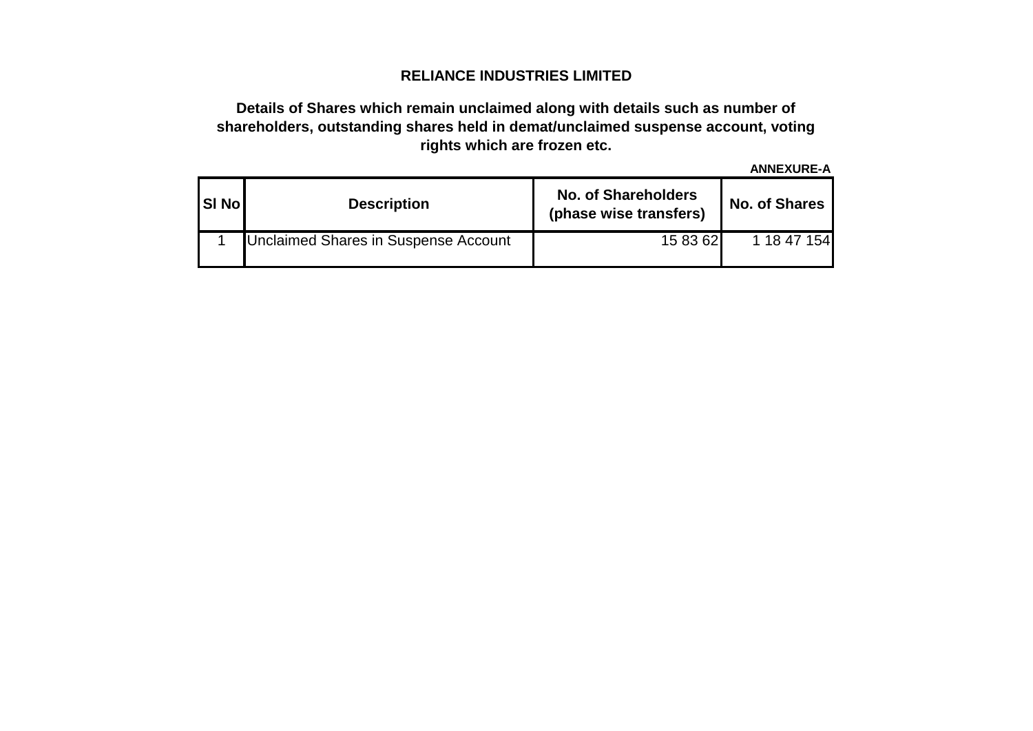## **RELIANCE INDUSTRIES LIMITED**

### **Details of Shares which remain unclaimed along with details such as number of shareholders, outstanding shares held in demat/unclaimed suspense account, voting rights which are frozen etc.**

**ANNEXURE-A**

| <b>SI Nol</b> | <b>Description</b>                   | <b>No. of Shareholders</b><br>(phase wise transfers) | <b>No. of Shares</b> |  |  |  |  |
|---------------|--------------------------------------|------------------------------------------------------|----------------------|--|--|--|--|
|               | Unclaimed Shares in Suspense Account | 15 83 62                                             | 1 18 47 154          |  |  |  |  |